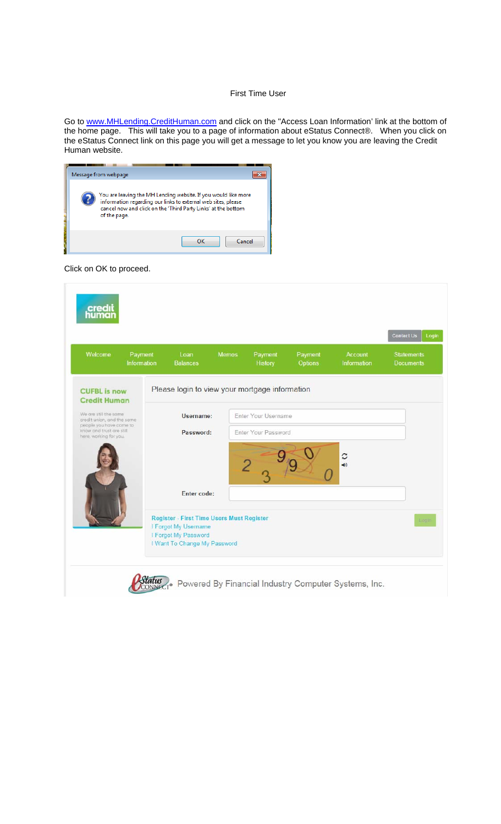## First Time User

Go to www.MHLending.CreditHuman.com and click on the "Access Loan Information' link at the bottom of the home page. This will take you to a page of information about eStatus Connect®. When you click on the eStatus Connect link on this page you will get a message to let you know you are leaving the Credit Human website.

| Message from webpage                                                                                                                                                                                             |
|------------------------------------------------------------------------------------------------------------------------------------------------------------------------------------------------------------------|
| You are leaving the MH Lending website. If you would like more<br>information regarding our links to external web sites, please<br>cancel now and click on the 'Third Party Links' at the bottom<br>of the page. |
| OK<br>Cancel                                                                                                                                                                                                     |

Click on OK to proceed.

| Welcome                                                                                                                              | Payment<br>Information | Loan<br><b>Balances</b>                                                                                                          | <b>Memos</b> | Payment<br>History                         | Payment<br><b>Options</b> | Account<br>Information    | <b>Statements</b><br><b>Documents</b> |
|--------------------------------------------------------------------------------------------------------------------------------------|------------------------|----------------------------------------------------------------------------------------------------------------------------------|--------------|--------------------------------------------|---------------------------|---------------------------|---------------------------------------|
| <b>CUFBL</b> is now<br><b>Credit Human</b>                                                                                           |                        | Please login to view your mortgage information                                                                                   |              |                                            |                           |                           |                                       |
| We are still the same<br>credit union, and the same<br>people you have come to<br>know and trust are still<br>here, working for you. |                        | Username:<br>Password:                                                                                                           |              | Enter Your Username<br>Enter Your Password |                           |                           |                                       |
|                                                                                                                                      |                        | Enter code:                                                                                                                      |              |                                            |                           | C<br>$\blacktriangleleft$ |                                       |
|                                                                                                                                      |                        | <b>Register - First Time Users Must Register</b><br>I Forgot My Username<br>I Forgot My Password<br>I Want To Change My Password |              |                                            |                           |                           | Eogin                                 |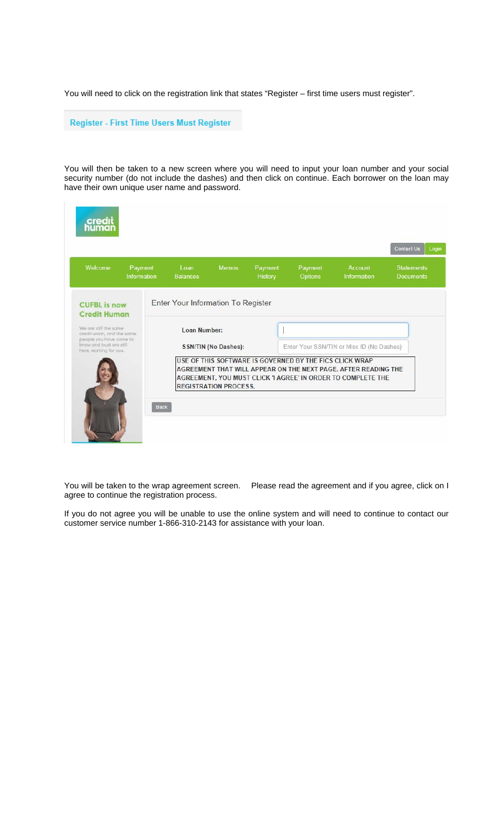You will need to click on the registration link that states "Register – first time users must register".

Register - First Time Users Must Register

You will then be taken to a new screen where you will need to input your loan number and your social security number (do not include the dashes) and then click on continue. Each borrower on the loan may have their own unique user name and password.

| Welcome                                                                                                                              | Payment<br>Information | Loan<br><b>Balances</b>            | <b>Memos</b>                 | Payment<br>History | Payment<br><b>Options</b>                               | Account<br>Information                                                                                                         | <b>Statements</b><br><b>Documents</b> |
|--------------------------------------------------------------------------------------------------------------------------------------|------------------------|------------------------------------|------------------------------|--------------------|---------------------------------------------------------|--------------------------------------------------------------------------------------------------------------------------------|---------------------------------------|
| <b>CUFBL</b> is now<br><b>Credit Human</b>                                                                                           |                        | Enter Your Information To Register |                              |                    |                                                         |                                                                                                                                |                                       |
| We are still the same<br>credit union, and the same<br>people you have come to<br>know and trust are still<br>here, working for you. |                        | Loan Number:                       | <b>SSN/TIN (No Dashes):</b>  |                    |                                                         | Enter Your SSN/TIN or Misc ID (No Dashes)                                                                                      |                                       |
|                                                                                                                                      |                        |                                    | <b>REGISTRATION PROCESS.</b> |                    | USE OF THIS SOFTWARE IS GOVERNED BY THE FICS CLICK WRAP | AGREEMENT THAT WILL APPEAR ON THE NEXT PAGE. AFTER READING THE<br>AGREEMENT, YOU MUST CLICK 'I AGREE' IN ORDER TO COMPLETE THE |                                       |

agree to continue the registration process.

You will be taken to the wrap agreement screen. Please read the agreement and if you agree, click on I

If you do not agree you will be unable to use the online system and will need to continue to contact our customer service number 1-866-310-2143 for assistance with your loan.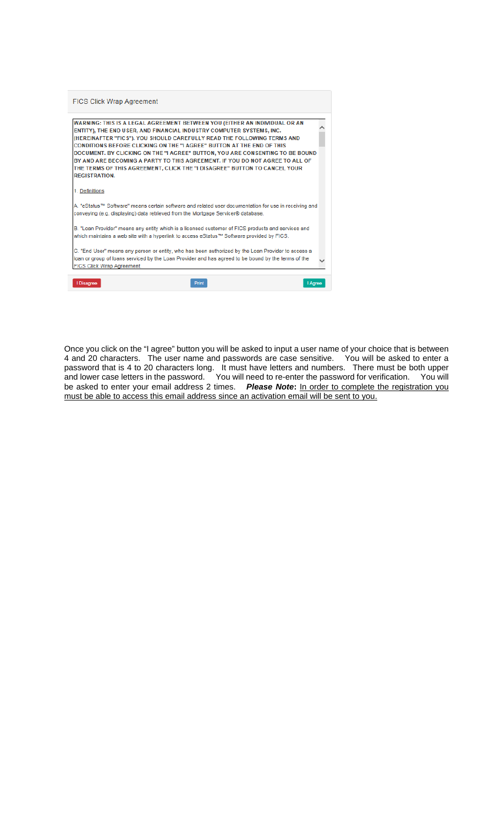

Once you click on the "I agree" button you will be asked to input a user name of your choice that is between 4 and 20 characters. The user name and passwords are case sensitive. You will be asked to enter a password that is 4 to 20 characters long. It must have letters and numbers. There must be both upper and lower case letters in the password. You will need to re-enter the password for verification. You will be asked to enter your email address 2 times. *Please Note***:** In order to complete the registration you must be able to access this email address since an activation email will be sent to you.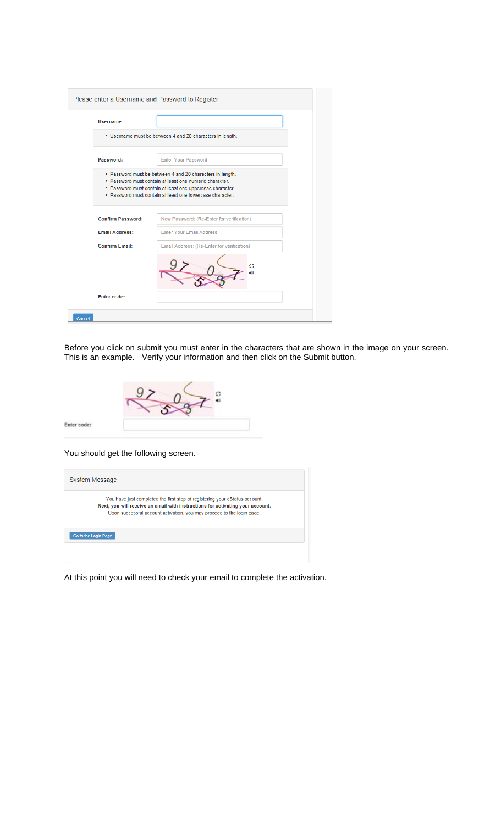| Please enter a Username and Password to Register |                                                                                                                                                                                                                                                |
|--------------------------------------------------|------------------------------------------------------------------------------------------------------------------------------------------------------------------------------------------------------------------------------------------------|
| Username:                                        |                                                                                                                                                                                                                                                |
|                                                  | • Username must be between 4 and 20 characters in length.                                                                                                                                                                                      |
| Password:                                        | <b>Enter Your Password</b>                                                                                                                                                                                                                     |
|                                                  | • Password must be between 4 and 20 characters in length.<br>. Password must contain at least one numeric character.<br>· Password must contain at least one uppercase character.<br>· Password must contain at least one lowercase character. |
| <b>Confirm Password:</b>                         | New Password: (Re-Enter for verification)                                                                                                                                                                                                      |
| <b>Email Address:</b>                            | Enter Your Email Address                                                                                                                                                                                                                       |
| <b>Confirm Email:</b>                            | Email Address: (Re-Enter for verification)                                                                                                                                                                                                     |
|                                                  |                                                                                                                                                                                                                                                |
| <b>Enter code:</b>                               |                                                                                                                                                                                                                                                |
| Cancel                                           |                                                                                                                                                                                                                                                |

Before you click on submit you must enter in the characters that are shown in the image on your screen. This is an example. Verify your information and then click on the Submit button.

You should get the following screen.

Enter code:

| System Message                                                                                                                                                                                                                          |  |
|-----------------------------------------------------------------------------------------------------------------------------------------------------------------------------------------------------------------------------------------|--|
| You have just completed the first step of registering your eStatus account.<br>Next, you will receive an email with instructions for activating your account.<br>Upon successful account activation, you may proceed to the login page. |  |
| Go to the Login Page                                                                                                                                                                                                                    |  |
|                                                                                                                                                                                                                                         |  |

At this point you will need to check your email to complete the activation.